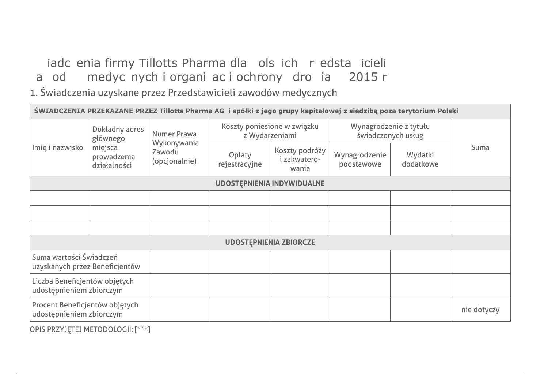# iadc enia firmy Tillotts Pharma dla ols ich r edsta icieli a od medyc nych i organiac i ochrony dro ia 2015 r.

1. Świadczenia uzyskane przez Przedstawicieli zawodów medycznych

| ŚWIADCZENIA PRZEKAZANE PRZEZ Tillotts Pharma AG i spółki z jego grupy kapitałowej z siedzibą poza terytorium Polski |                                                                      |                                                       |                         |                                               |                                              |                      |             |  |  |  |
|---------------------------------------------------------------------------------------------------------------------|----------------------------------------------------------------------|-------------------------------------------------------|-------------------------|-----------------------------------------------|----------------------------------------------|----------------------|-------------|--|--|--|
| Imię i nazwisko                                                                                                     | Dokładny adres<br>głównego<br>miejsca<br>prowadzenia<br>działalności | Numer Prawa<br>Wykonywania<br>Zawodu<br>(opcjonalnie) |                         | Koszty poniesione w związku<br>z Wydarzeniami | Wynagrodzenie z tytułu<br>świadczonych usług |                      |             |  |  |  |
|                                                                                                                     |                                                                      |                                                       | Opłaty<br>rejestracyjne | Koszty podróży<br>i zakwatero-<br>wania       | Wynagrodzenie<br>podstawowe                  | Wydatki<br>dodatkowe | Suma        |  |  |  |
| <b>UDOSTĘPNIENIA INDYWIDUALNE</b>                                                                                   |                                                                      |                                                       |                         |                                               |                                              |                      |             |  |  |  |
|                                                                                                                     |                                                                      |                                                       |                         |                                               |                                              |                      |             |  |  |  |
|                                                                                                                     |                                                                      |                                                       |                         |                                               |                                              |                      |             |  |  |  |
|                                                                                                                     |                                                                      |                                                       |                         |                                               |                                              |                      |             |  |  |  |
| <b>UDOSTEPNIENIA ZBIORCZE</b>                                                                                       |                                                                      |                                                       |                         |                                               |                                              |                      |             |  |  |  |
| Suma wartości Świadczeń<br>uzyskanych przez Beneficjentów                                                           |                                                                      |                                                       |                         |                                               |                                              |                      |             |  |  |  |
| Liczba Beneficjentów objętych<br>udostępnieniem zbiorczym                                                           |                                                                      |                                                       |                         |                                               |                                              |                      |             |  |  |  |
| Procent Beneficjentów objętych<br>udostępnieniem zbiorczym                                                          |                                                                      |                                                       |                         |                                               |                                              |                      | nie dotyczy |  |  |  |

OPIS PRZYJĘTEJ METODOLOGII: [\*\*\*]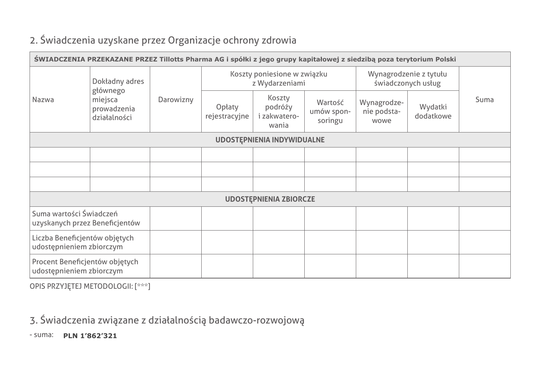## 2. Świadczenia uzyskane przez Organizacje ochrony zdrowia

| ŚWIADCZENIA PRZEKAZANE PRZEZ Tillotts Pharma AG i spółki z jego grupy kapitałowej z siedzibą poza terytorium Polski |                                                                      |           |                                               |                                            |                                  |                                              |                      |      |  |
|---------------------------------------------------------------------------------------------------------------------|----------------------------------------------------------------------|-----------|-----------------------------------------------|--------------------------------------------|----------------------------------|----------------------------------------------|----------------------|------|--|
| Nazwa                                                                                                               | Dokładny adres<br>głównego<br>miejsca<br>prowadzenia<br>działalności | Darowizny | Koszty poniesione w związku<br>z Wydarzeniami |                                            |                                  | Wynagrodzenie z tytułu<br>świadczonych usług |                      |      |  |
|                                                                                                                     |                                                                      |           | Opłaty<br>rejestracyjne                       | Koszty<br>podróży<br>i zakwatero-<br>wania | Wartość<br>umów spon-<br>soringu | Wynagrodze-<br>nie podsta-<br>wowe           | Wydatki<br>dodatkowe | Suma |  |
| <b>UDOSTEPNIENIA INDYWIDUALNE</b>                                                                                   |                                                                      |           |                                               |                                            |                                  |                                              |                      |      |  |
|                                                                                                                     |                                                                      |           |                                               |                                            |                                  |                                              |                      |      |  |
|                                                                                                                     |                                                                      |           |                                               |                                            |                                  |                                              |                      |      |  |
|                                                                                                                     |                                                                      |           |                                               |                                            |                                  |                                              |                      |      |  |
| <b>UDOSTEPNIENIA ZBIORCZE</b>                                                                                       |                                                                      |           |                                               |                                            |                                  |                                              |                      |      |  |
| Suma wartości Świadczeń<br>uzyskanych przez Beneficjentów                                                           |                                                                      |           |                                               |                                            |                                  |                                              |                      |      |  |
| Liczba Beneficjentów objętych<br>udostępnieniem zbiorczym                                                           |                                                                      |           |                                               |                                            |                                  |                                              |                      |      |  |
| Procent Beneficjentów objętych<br>udostępnieniem zbiorczym                                                          |                                                                      |           |                                               |                                            |                                  |                                              |                      |      |  |

OPIS PRZYJĘTEJ METODOLOGII: [\*\*\*]

## 3. Świadczenia związane z działalnością badawczo-rozwojową

- suma: **PLN 1'862'321**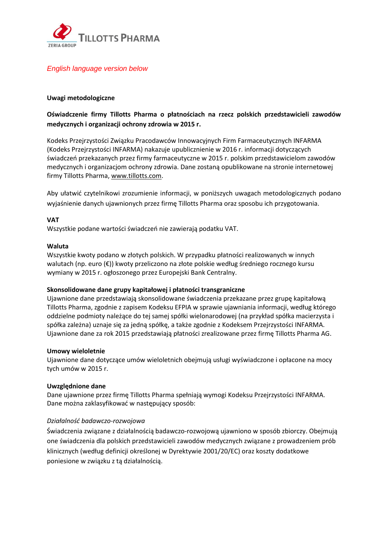

### *English language version below*

### **Uwagi metodologiczne**

### **Oświadczenie firmy Tillotts Pharma o płatnościach na rzecz polskich przedstawicieli zawodów medycznych i organizacji ochrony zdrowia w 2015 r.**

Kodeks Przejrzystości Związku Pracodawców Innowacyjnych Firm Farmaceutycznych INFARMA (Kodeks Przejrzystości INFARMA) nakazuje upublicznienie w 2016 r. informacji dotyczących świadczeń przekazanych przez firmy farmaceutyczne w 2015 r. polskim przedstawicielom zawodów medycznych i organizacjom ochrony zdrowia. Dane zostaną opublikowane na stronie internetowej firmy Tillotts Pharma[, www.tillotts.com.](http://www.tillotts.com/)

Aby ułatwić czytelnikowi zrozumienie informacji, w poniższych uwagach metodologicznych podano wyjaśnienie danych ujawnionych przez firmę Tillotts Pharma oraz sposobu ich przygotowania.

### **VAT**

Wszystkie podane wartości świadczeń nie zawierają podatku VAT.

### **Waluta**

Wszystkie kwoty podano w złotych polskich. W przypadku płatności realizowanych w innych walutach (np. euro (€)) kwoty przeliczono na złote polskie według średniego rocznego kursu wymiany w 2015 r. ogłoszonego przez Europejski Bank Centralny.

### **Skonsolidowane dane grupy kapitałowej i płatności transgraniczne**

Ujawnione dane przedstawiają skonsolidowane świadczenia przekazane przez grupę kapitałową Tillotts Pharma, zgodnie z zapisem Kodeksu EFPIA w sprawie ujawniania informacji, według którego oddzielne podmioty należące do tej samej spółki wielonarodowej (na przykład spółka macierzysta i spółka zależna) uznaje się za jedną spółkę, a także zgodnie z Kodeksem Przejrzystości INFARMA. Ujawnione dane za rok 2015 przedstawiają płatności zrealizowane przez firmę Tillotts Pharma AG.

### **Umowy wieloletnie**

Ujawnione dane dotyczące umów wieloletnich obejmują usługi wyświadczone i opłacone na mocy tych umów w 2015 r.

### **Uwzględnione dane**

Dane ujawnione przez firmę Tillotts Pharma spełniają wymogi Kodeksu Przejrzystości INFARMA. Dane można zaklasyfikować w następujący sposób:

### *Działalność badawczo-rozwojowa*

Świadczenia związane z działalnością badawczo-rozwojową ujawniono w sposób zbiorczy. Obejmują one świadczenia dla polskich przedstawicieli zawodów medycznych związane z prowadzeniem prób klinicznych (według definicji określonej w Dyrektywie 2001/20/EC) oraz koszty dodatkowe poniesione w związku z tą działalnością.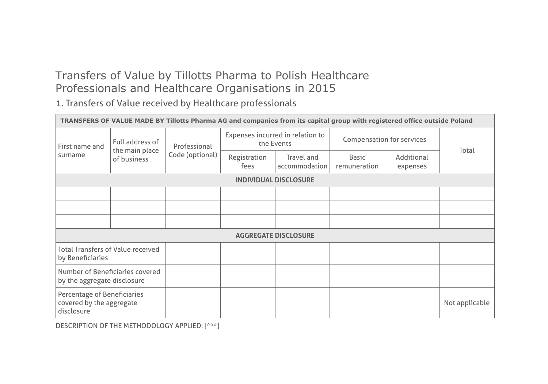# Transfers of Value by Tillotts Pharma to Polish Healthcare Professionals and Healthcare Organisations in 2015

1. Transfers of Value received by Healthcare professionals

| TRANSFERS OF VALUE MADE BY Tillotts Pharma AG and companies from its capital group with registered office outside Poland |                                                  |                                 |                      |                                                |                           |                        |                |  |  |  |
|--------------------------------------------------------------------------------------------------------------------------|--------------------------------------------------|---------------------------------|----------------------|------------------------------------------------|---------------------------|------------------------|----------------|--|--|--|
| First name and<br>surname                                                                                                | Full address of<br>the main place<br>of business | Professional<br>Code (optional) |                      | Expenses incurred in relation to<br>the Events | Compensation for services |                        |                |  |  |  |
|                                                                                                                          |                                                  |                                 | Registration<br>fees | Travel and<br>accommodation                    | Basic<br>remuneration     | Additional<br>expenses | Total          |  |  |  |
| <b>INDIVIDUAL DISCLOSURE</b>                                                                                             |                                                  |                                 |                      |                                                |                           |                        |                |  |  |  |
|                                                                                                                          |                                                  |                                 |                      |                                                |                           |                        |                |  |  |  |
|                                                                                                                          |                                                  |                                 |                      |                                                |                           |                        |                |  |  |  |
|                                                                                                                          |                                                  |                                 |                      |                                                |                           |                        |                |  |  |  |
| <b>AGGREGATE DISCLOSURE</b>                                                                                              |                                                  |                                 |                      |                                                |                           |                        |                |  |  |  |
| <b>Total Transfers of Value received</b><br>by Beneficiaries                                                             |                                                  |                                 |                      |                                                |                           |                        |                |  |  |  |
| Number of Beneficiaries covered<br>by the aggregate disclosure                                                           |                                                  |                                 |                      |                                                |                           |                        |                |  |  |  |
| Percentage of Beneficiaries<br>covered by the aggregate<br>disclosure                                                    |                                                  |                                 |                      |                                                |                           |                        | Not applicable |  |  |  |

DESCRIPTION OF THE METHODOLOGY APPLIED: [\*\*\*]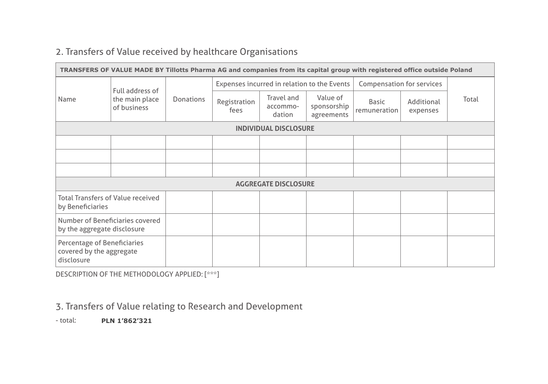# 2. Transfers of Value received by healthcare Organisations

| TRANSFERS OF VALUE MADE BY Tillotts Pharma AG and companies from its capital group with registered office outside Poland |                                                  |                  |                      |                                             |                                       |                              |                        |       |  |
|--------------------------------------------------------------------------------------------------------------------------|--------------------------------------------------|------------------|----------------------|---------------------------------------------|---------------------------------------|------------------------------|------------------------|-------|--|
| Name                                                                                                                     | Full address of<br>the main place<br>of business | <b>Donations</b> |                      | Expenses incurred in relation to the Events |                                       | Compensation for services    |                        |       |  |
|                                                                                                                          |                                                  |                  | Registration<br>fees | Travel and<br>accommo-<br>dation            | Value of<br>sponsorship<br>agreements | <b>Basic</b><br>remuneration | Additional<br>expenses | Total |  |
| <b>INDIVIDUAL DISCLOSURE</b>                                                                                             |                                                  |                  |                      |                                             |                                       |                              |                        |       |  |
|                                                                                                                          |                                                  |                  |                      |                                             |                                       |                              |                        |       |  |
|                                                                                                                          |                                                  |                  |                      |                                             |                                       |                              |                        |       |  |
|                                                                                                                          |                                                  |                  |                      |                                             |                                       |                              |                        |       |  |
| <b>AGGREGATE DISCLOSURE</b>                                                                                              |                                                  |                  |                      |                                             |                                       |                              |                        |       |  |
| <b>Total Transfers of Value received</b><br>by Beneficiaries                                                             |                                                  |                  |                      |                                             |                                       |                              |                        |       |  |
| Number of Beneficiaries covered<br>by the aggregate disclosure                                                           |                                                  |                  |                      |                                             |                                       |                              |                        |       |  |
| Percentage of Beneficiaries<br>covered by the aggregate<br>disclosure                                                    |                                                  |                  |                      |                                             |                                       |                              |                        |       |  |

DESCRIPTION OF THE METHODOLOGY APPLIED: [\*\*\*]

### 3. Transfers of Value relating to Research and Development

- total: **PLN 1'862'321**